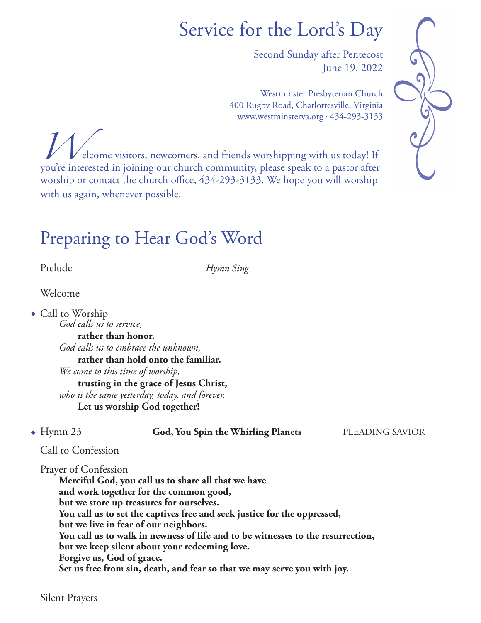# Service for the Lord's Day

Second Sunday after Pentecost June 19, 2022

Westminster Presbyterian Church 400 Rugby Road, Charlottesville, Virginia www.westminsterva.org . 434-293-3133





#### Preparing to Hear God's Word

Prelude *Hymn Sing*

Welcome

 $\bullet$  Call to Worship

 *God calls us to service,* **rather than honor.**  *God calls us to embrace the unknown,* **rather than hold onto the familiar.**  *We come to this time of worship,* **trusting in the grace of Jesus Christ,**  *who is the same yesterday, today, and forever.*  **Let us worship God together!**

<sup>u</sup> Hymn 23 **God, You Spin the Whirling Planets** PLEADING SAVIOR

#### Call to Confession

Prayer of Confession

 **Merciful God, you call us to share all that we have and work together for the common good, but we store up treasures for ourselves. You call us to set the captives free and seek justice for the oppressed, but we live in fear of our neighbors. You call us to walk in newness of life and to be witnesses to the resurrection, but we keep silent about your redeeming love. Forgive us, God of grace. Set us free from sin, death, and fear so that we may serve you with joy.**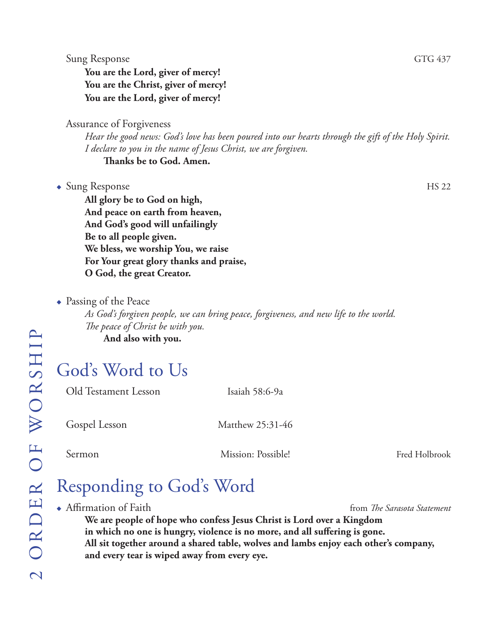**You are the Lord, giver of mercy! You are the Christ, giver of mercy! You are the Lord, giver of mercy!**

Assurance of Forgiveness

*Hear the good news: God's love has been poured into our hearts through the gift of the Holy Spirit. I declare to you in the name of Jesus Christ, we are forgiven.* **Thanks be to God. Amen.**

• Sung Response HS 22

**All glory be to God on high, And peace on earth from heaven, And God's good will unfailingly Be to all people given. We bless, we worship You, we raise For Your great glory thanks and praise, O God, the great Creator.**

 $\bullet$  Passing of the Peace

*As God's forgiven people, we can bring peace, forgiveness, and new life to the world. The peace of Christ be with you.* **And also with you.**

# God's Word to Us

Old Testament Lesson Isaiah 58:6-9a

Gospel Lesson Matthew 25:31-46

Sermon Mission: Possible! Fred Holbrook

# Responding to God's Word

◆ Affirmation of Faith **from** *The Sarasota Statement*  **We are people of hope who confess Jesus Christ is Lord over a Kingdom in which no one is hungry, violence is no more, and all suffering is gone. All sit together around a shared table, wolves and lambs enjoy each other's company, and every tear is wiped away from every eye.**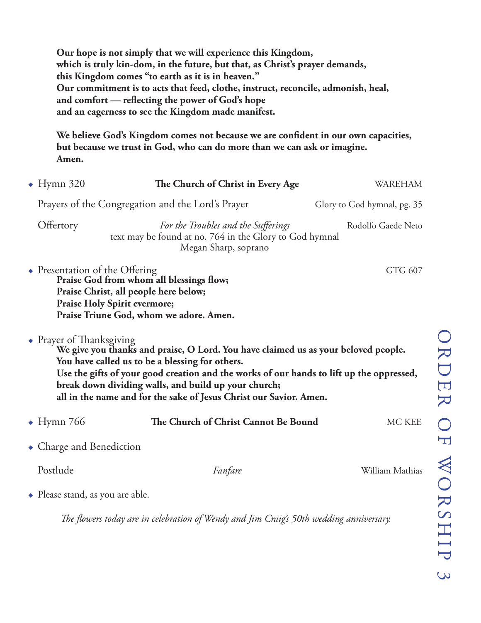**Our hope is not simply that we will experience this Kingdom, which is truly kin-dom, in the future, but that, as Christ's prayer demands, this Kingdom comes "to earth as it is in heaven." Our commitment is to acts that feed, clothe, instruct, reconcile, admonish, heal, and comfort — reflecting the power of God's hope and an eagerness to see the Kingdom made manifest.**

 **We believe God's Kingdom comes not because we are confident in our own capacities, but because we trust in God, who can do more than we can ask or imagine. Amen.**

| $\bullet$ Hymn 320                                                                                                                                                                                                                                                                                                                                                                          | The Church of Christ in Every Age                                                                                                                            | <b>WAREHAM</b>              |
|---------------------------------------------------------------------------------------------------------------------------------------------------------------------------------------------------------------------------------------------------------------------------------------------------------------------------------------------------------------------------------------------|--------------------------------------------------------------------------------------------------------------------------------------------------------------|-----------------------------|
|                                                                                                                                                                                                                                                                                                                                                                                             | Prayers of the Congregation and the Lord's Prayer                                                                                                            | Glory to God hymnal, pg. 35 |
| Offertory                                                                                                                                                                                                                                                                                                                                                                                   | For the Troubles and the Sufferings<br>text may be found at no. 764 in the Glory to God hymnal<br>Megan Sharp, soprano                                       | Rodolfo Gaede Neto          |
| $\bullet$ Presentation of the Offering                                                                                                                                                                                                                                                                                                                                                      | Praise God from whom all blessings flow;<br>Praise Christ, all people here below;<br>Praise Holy Spirit evermore;<br>Praise Triune God, whom we adore. Amen. | GTG 607                     |
| • Prayer of Thanksgiving<br>We give you thanks and praise, O Lord. You have claimed us as your beloved people.<br>You have called us to be a blessing for others.<br>Use the gifts of your good creation and the works of our hands to lift up the oppressed,<br>break down dividing walls, and build up your church;<br>all in the name and for the sake of Jesus Christ our Savior. Amen. |                                                                                                                                                              |                             |
| $\bullet$ Hymn 766                                                                                                                                                                                                                                                                                                                                                                          | The Church of Christ Cannot Be Bound                                                                                                                         | MC KEE                      |
| $\bullet$ Charge and Benediction                                                                                                                                                                                                                                                                                                                                                            |                                                                                                                                                              |                             |
| Postlude                                                                                                                                                                                                                                                                                                                                                                                    | Fanfare                                                                                                                                                      | William Mathias             |
| • Please stand, as you are able.                                                                                                                                                                                                                                                                                                                                                            |                                                                                                                                                              |                             |

*The flowers today are in celebration of Wendy and Jim Craig's 50th wedding anniversary.*